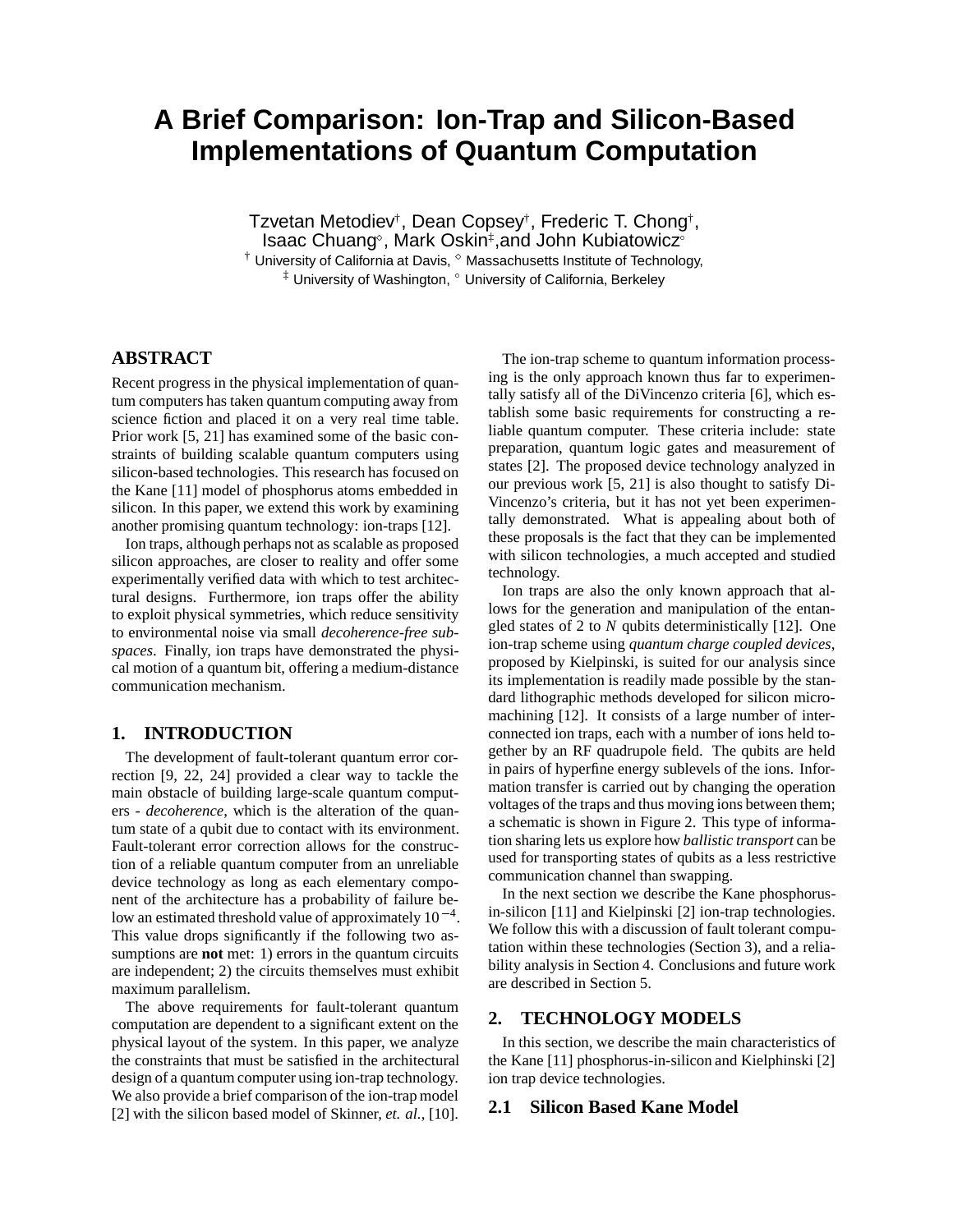# **A Brief Comparison: Ion-Trap and Silicon-Based Implementations of Quantum Computation**

Tzvetan Metodiev†, Dean Copsey†, Frederic T. Chong†, Isaac Chuang∘, Mark Oskin‡,and John Kubiatowicz∘  $\dagger$  University of California at Davis,  $^{\diamond}$  Massachusetts Institute of Technology,  $^{\ddagger}$  University of Washington,  $^{\circ}$  University of California, Berkeley

# **ABSTRACT**

Recent progress in the physical implementation of quantum computers has taken quantum computing away from science fiction and placed it on a very real time table. Prior work [5, 21] has examined some of the basic constraints of building scalable quantum computers using silicon-based technologies. This research has focused on the Kane [11] model of phosphorus atoms embedded in silicon. In this paper, we extend this work by examining another promising quantum technology: ion-traps [12].

Ion traps, although perhaps not as scalable as proposed silicon approaches, are closer to reality and offer some experimentally verified data with which to test architectural designs. Furthermore, ion traps offer the ability to exploit physical symmetries, which reduce sensitivity to environmental noise via small *decoherence-free subspaces*. Finally, ion traps have demonstrated the physical motion of a quantum bit, offering a medium-distance communication mechanism.

# **1. INTRODUCTION**

The development of fault-tolerant quantum error correction [9, 22, 24] provided a clear way to tackle the main obstacle of building large-scale quantum computers - *decoherence*, which is the alteration of the quantum state of a qubit due to contact with its environment. Fault-tolerant error correction allows for the construction of a reliable quantum computer from an unreliable device technology as long as each elementary component of the architecture has a probability of failure below an estimated threshold value of approximately  $10^{-4}$ . This value drops significantly if the following two assumptions are **not** met: 1) errors in the quantum circuits are independent; 2) the circuits themselves must exhibit maximum parallelism.

The above requirements for fault-tolerant quantum computation are dependent to a significant extent on the physical layout of the system. In this paper, we analyze the constraints that must be satisfied in the architectural design of a quantum computer using ion-trap technology. We also provide a brief comparison of the ion-trap model [2] with the silicon based model of Skinner, *et. al.*, [10].

The ion-trap scheme to quantum information processing is the only approach known thus far to experimentally satisfy all of the DiVincenzo criteria [6], which establish some basic requirements for constructing a reliable quantum computer. These criteria include: state preparation, quantum logic gates and measurement of states [2]. The proposed device technology analyzed in our previous work [5, 21] is also thought to satisfy Di-Vincenzo's criteria, but it has not yet been experimentally demonstrated. What is appealing about both of these proposals is the fact that they can be implemented with silicon technologies, a much accepted and studied technology.

Ion traps are also the only known approach that allows for the generation and manipulation of the entangled states of 2 to *N* qubits deterministically [12]. One ion-trap scheme using *quantum charge coupled devices*, proposed by Kielpinski, is suited for our analysis since its implementation is readily made possible by the standard lithographic methods developed for silicon micromachining [12]. It consists of a large number of interconnected ion traps, each with a number of ions held together by an RF quadrupole field. The qubits are held in pairs of hyperfine energy sublevels of the ions. Information transfer is carried out by changing the operation voltages of the traps and thus moving ions between them; a schematic is shown in Figure 2. This type of information sharing lets us explore how *ballistic transport* can be used for transporting states of qubits as a less restrictive communication channel than swapping.

In the next section we describe the Kane phosphorusin-silicon [11] and Kielpinski [2] ion-trap technologies. We follow this with a discussion of fault tolerant computation within these technologies (Section 3), and a reliability analysis in Section 4. Conclusions and future work are described in Section 5.

# **2. TECHNOLOGY MODELS**

In this section, we describe the main characteristics of the Kane [11] phosphorus-in-silicon and Kielphinski [2] ion trap device technologies.

# **2.1 Silicon Based Kane Model**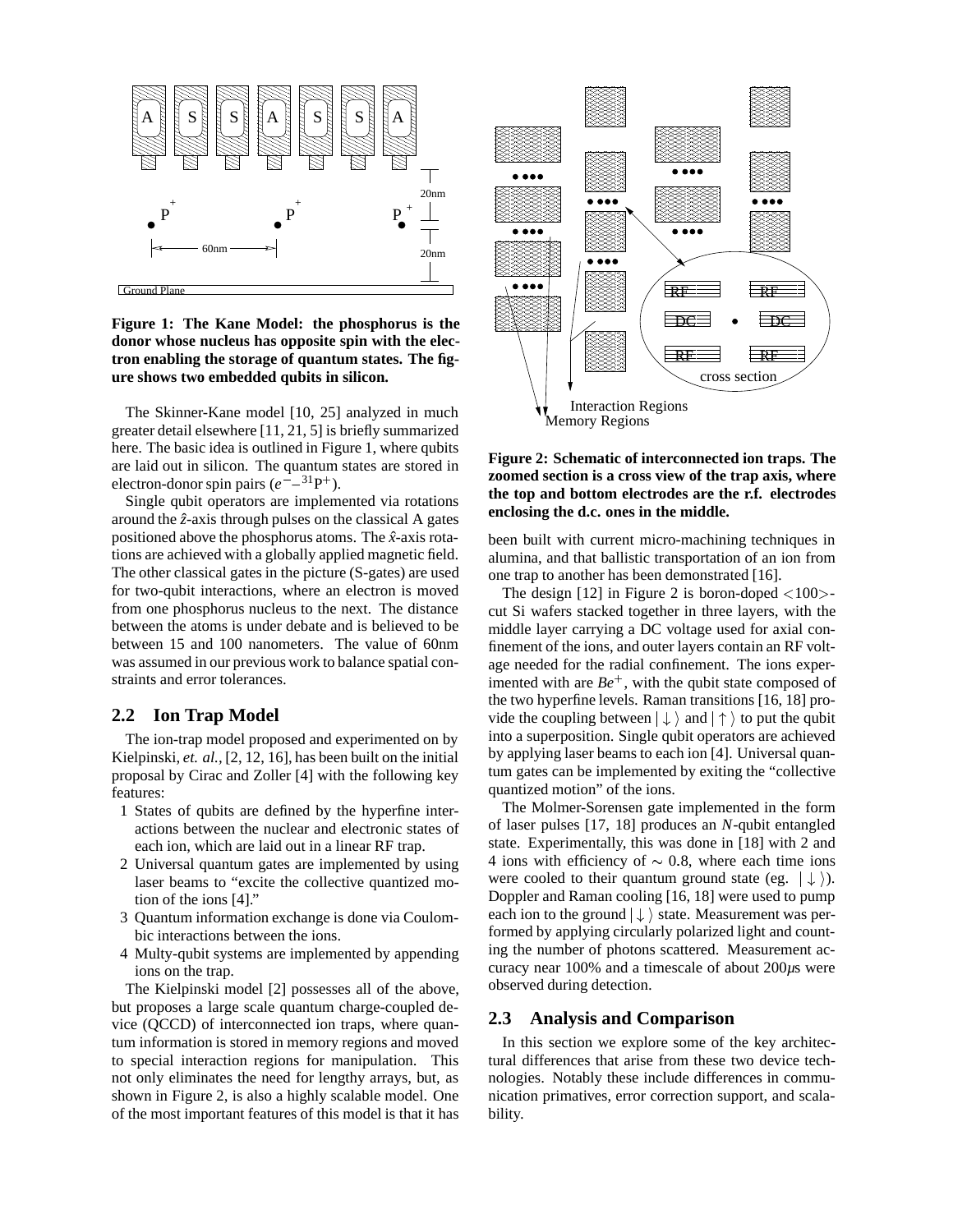

**Figure 1: The Kane Model: the phosphorus is the donor whose nucleus has opposite spin with the electron enabling the storage of quantum states. The figure shows two embedded qubits in silicon.**

The Skinner-Kane model [10, 25] analyzed in much greater detail elsewhere [11, 21, 5] is briefly summarized here. The basic idea is outlined in Figure 1, where qubits are laid out in silicon. The quantum states are stored in electron-donor spin pairs  $(e^{-} - {}^{31}P^{+})$ .

Single qubit operators are implemented via rotations around the  $\hat{z}$ -axis through pulses on the classical A gates positioned above the phosphorus atoms. The ˆ*x*-axis rotations are achieved with a globally applied magnetic field. The other classical gates in the picture (S-gates) are used for two-qubit interactions, where an electron is moved from one phosphorus nucleus to the next. The distance between the atoms is under debate and is believed to be between 15 and 100 nanometers. The value of 60nm was assumed in our previous work to balance spatial constraints and error tolerances.

## **2.2 Ion Trap Model**

The ion-trap model proposed and experimented on by Kielpinski, *et. al.,* [2, 12, 16], has been built on the initial proposal by Cirac and Zoller [4] with the following key features:

- 1 States of qubits are defined by the hyperfine interactions between the nuclear and electronic states of each ion, which are laid out in a linear RF trap.
- 2 Universal quantum gates are implemented by using laser beams to "excite the collective quantized motion of the ions [4]."
- 3 Quantum information exchange is done via Coulombic interactions between the ions.
- 4 Multy-qubit systems are implemented by appending ions on the trap.

The Kielpinski model [2] possesses all of the above, but proposes a large scale quantum charge-coupled device (QCCD) of interconnected ion traps, where quantum information is stored in memory regions and moved to special interaction regions for manipulation. This not only eliminates the need for lengthy arrays, but, as shown in Figure 2, is also a highly scalable model. One of the most important features of this model is that it has



## **Figure 2: Schematic of interconnected ion traps. The zoomed section is a cross view of the trap axis, where the top and bottom electrodes are the r.f. electrodes enclosing the d.c. ones in the middle.**

been built with current micro-machining techniques in alumina, and that ballistic transportation of an ion from one trap to another has been demonstrated [16].

The design  $[12]$  in Figure 2 is boron-doped  $\langle 100 \rangle$ cut Si wafers stacked together in three layers, with the middle layer carrying a DC voltage used for axial confinement of the ions, and outer layers contain an RF voltage needed for the radial confinement. The ions experimented with are *Be* , with the qubit state composed of the two hyperfine levels. Raman transitions [16, 18] provide the coupling between  $|\downarrow\rangle$  and  $|\uparrow\rangle$  to put the qubit into a superposition. Single qubit operators are achieved by applying laser beams to each ion [4]. Universal quantum gates can be implemented by exiting the "collective quantized motion" of the ions.

The Molmer-Sorensen gate implemented in the form of laser pulses [17, 18] produces an *N*-qubit entangled state. Experimentally, this was done in [18] with 2 and 4 ions with efficiency of  $\sim 0.8$ , where each time ions were cooled to their quantum ground state (eg.  $|\downarrow\rangle$ ). Doppler and Raman cooling [16, 18] were used to pump each ion to the ground  $|\downarrow\rangle$  state. Measurement was performed by applying circularly polarized light and counting the number of photons scattered. Measurement accuracy near 100% and a timescale of about 200*µ*s were observed during detection.

# **2.3 Analysis and Comparison**

In this section we explore some of the key architectural differences that arise from these two device technologies. Notably these include differences in communication primatives, error correction support, and scalability.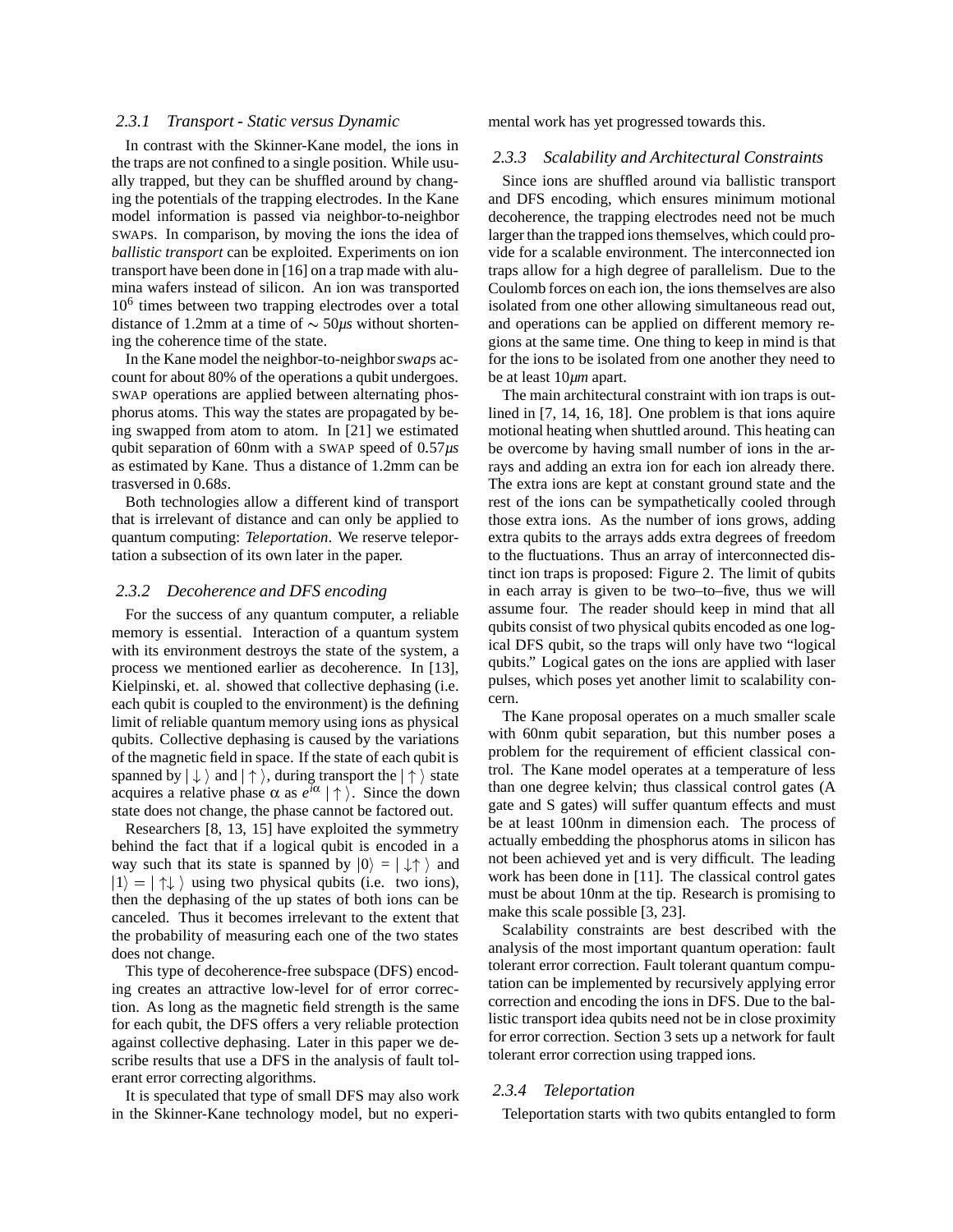#### *2.3.1 Transport - Static versus Dynamic*

In contrast with the Skinner-Kane model, the ions in the traps are not confined to a single position. While usually trapped, but they can be shuffled around by changing the potentials of the trapping electrodes. In the Kane model information is passed via neighbor-to-neighbor SWAPs. In comparison, by moving the ions the idea of *ballistic transport* can be exploited. Experiments on ion transport have been done in [16] on a trap made with alumina wafers instead of silicon. An ion was transported  $10<sup>6</sup>$  times between two trapping electrodes over a total distance of 1.2mm at a time of  $\sim$  50 $\mu$ s without shortening the coherence time of the state.

In the Kane model the neighbor-to-neighbor*swap*s account for about 80% of the operations a qubit undergoes. SWAP operations are applied between alternating phosphorus atoms. This way the states are propagated by being swapped from atom to atom. In [21] we estimated qubit separation of 60nm with a SWAP speed of 0-57*µs* as estimated by Kane. Thus a distance of 1.2mm can be trasversed in 0-68*s*.

Both technologies allow a different kind of transport that is irrelevant of distance and can only be applied to quantum computing: *Teleportation*. We reserve teleportation a subsection of its own later in the paper.

#### *2.3.2 Decoherence and DFS encoding*

For the success of any quantum computer, a reliable memory is essential. Interaction of a quantum system with its environment destroys the state of the system, a process we mentioned earlier as decoherence. In [13], Kielpinski, et. al. showed that collective dephasing (i.e. each qubit is coupled to the environment) is the defining limit of reliable quantum memory using ions as physical qubits. Collective dephasing is caused by the variations of the magnetic field in space. If the state of each qubit is spanned by  $|\downarrow\rangle$  and  $|\uparrow\rangle$ , during transport the  $|\uparrow\rangle$  state acquires a relative phase  $\alpha$  as  $e^{i\alpha} \mid \uparrow$ . Since the down state does not change, the phase cannot be factored out.

Researchers [8, 13, 15] have exploited the symmetry behind the fact that if a logical qubit is encoded in a way such that its state is spanned by  $|0\rangle = | \downarrow \uparrow \rangle$  and  $|1\rangle = |\uparrow\downarrow\rangle$  using two physical qubits (i.e. two ions), then the dephasing of the up states of both ions can be canceled. Thus it becomes irrelevant to the extent that the probability of measuring each one of the two states does not change.

This type of decoherence-free subspace (DFS) encoding creates an attractive low-level for of error correction. As long as the magnetic field strength is the same for each qubit, the DFS offers a very reliable protection against collective dephasing. Later in this paper we describe results that use a DFS in the analysis of fault tolerant error correcting algorithms.

It is speculated that type of small DFS may also work in the Skinner-Kane technology model, but no experimental work has yet progressed towards this.

#### *2.3.3 Scalability and Architectural Constraints*

Since ions are shuffled around via ballistic transport and DFS encoding, which ensures minimum motional decoherence, the trapping electrodes need not be much larger than the trapped ions themselves, which could provide for a scalable environment. The interconnected ion traps allow for a high degree of parallelism. Due to the Coulomb forces on each ion, the ions themselves are also isolated from one other allowing simultaneous read out, and operations can be applied on different memory regions at the same time. One thing to keep in mind is that for the ions to be isolated from one another they need to be at least 10*µm* apart.

The main architectural constraint with ion traps is outlined in [7, 14, 16, 18]. One problem is that ions aquire motional heating when shuttled around. This heating can be overcome by having small number of ions in the arrays and adding an extra ion for each ion already there. The extra ions are kept at constant ground state and the rest of the ions can be sympathetically cooled through those extra ions. As the number of ions grows, adding extra qubits to the arrays adds extra degrees of freedom to the fluctuations. Thus an array of interconnected distinct ion traps is proposed: Figure 2. The limit of qubits in each array is given to be two–to–five, thus we will assume four. The reader should keep in mind that all qubits consist of two physical qubits encoded as one logical DFS qubit, so the traps will only have two "logical qubits." Logical gates on the ions are applied with laser pulses, which poses yet another limit to scalability concern.

The Kane proposal operates on a much smaller scale with 60nm qubit separation, but this number poses a problem for the requirement of efficient classical control. The Kane model operates at a temperature of less than one degree kelvin; thus classical control gates (A gate and S gates) will suffer quantum effects and must be at least 100nm in dimension each. The process of actually embedding the phosphorus atoms in silicon has not been achieved yet and is very difficult. The leading work has been done in [11]. The classical control gates must be about 10nm at the tip. Research is promising to make this scale possible [3, 23].

Scalability constraints are best described with the analysis of the most important quantum operation: fault tolerant error correction. Fault tolerant quantum computation can be implemented by recursively applying error correction and encoding the ions in DFS. Due to the ballistic transport idea qubits need not be in close proximity for error correction. Section 3 sets up a network for fault tolerant error correction using trapped ions.

#### *2.3.4 Teleportation*

Teleportation starts with two qubits entangled to form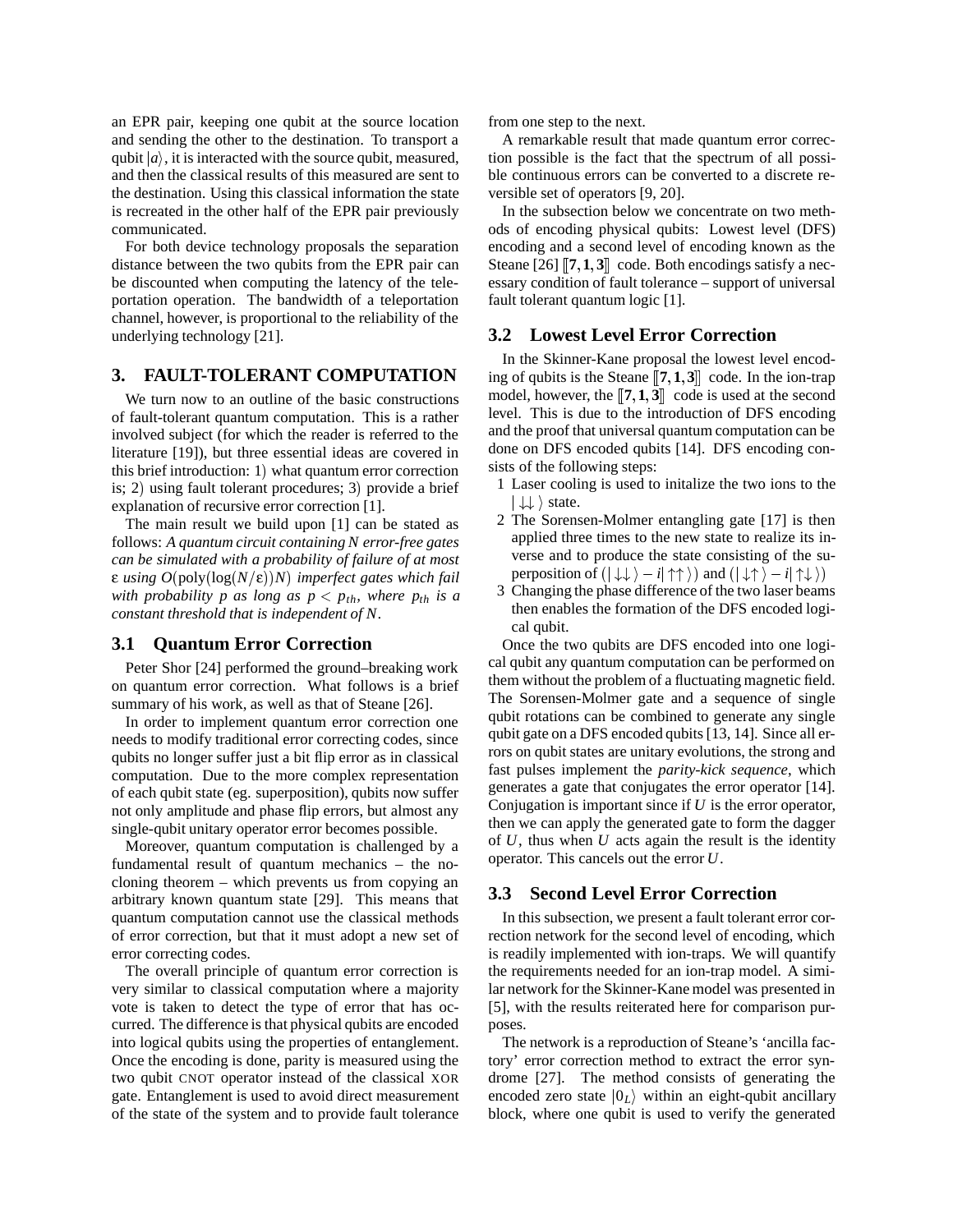an EPR pair, keeping one qubit at the source location and sending the other to the destination. To transport a qubit  $|a\rangle$ , it is interacted with the source qubit, measured, and then the classical results of this measured are sent to the destination. Using this classical information the state is recreated in the other half of the EPR pair previously communicated.

For both device technology proposals the separation distance between the two qubits from the EPR pair can be discounted when computing the latency of the teleportation operation. The bandwidth of a teleportation channel, however, is proportional to the reliability of the underlying technology [21].

# **3. FAULT-TOLERANT COMPUTATION**

We turn now to an outline of the basic constructions of fault-tolerant quantum computation. This is a rather involved subject (for which the reader is referred to the literature [19]), but three essential ideas are covered in this brief introduction:  $1)$  what quantum error correction is; 2) using fault tolerant procedures; 3) provide a brief explanation of recursive error correction [1].

The main result we build upon [1] can be stated as follows: *A quantum circuit containing N error-free gates can be simulated with a probability of failure of at most* **ε** using  $O(\text{poly}(\log(N/\epsilon))N)$  imperfect gates which fail *with probability p as long as*  $p < p_{th}$ *, where*  $p_{th}$  *is a constant threshold that is independent of N*.

#### **3.1 Quantum Error Correction**

Peter Shor [24] performed the ground–breaking work on quantum error correction. What follows is a brief summary of his work, as well as that of Steane [26].

In order to implement quantum error correction one needs to modify traditional error correcting codes, since qubits no longer suffer just a bit flip error as in classical computation. Due to the more complex representation of each qubit state (eg. superposition), qubits now suffer not only amplitude and phase flip errors, but almost any single-qubit unitary operator error becomes possible.

Moreover, quantum computation is challenged by a fundamental result of quantum mechanics – the nocloning theorem – which prevents us from copying an arbitrary known quantum state [29]. This means that quantum computation cannot use the classical methods of error correction, but that it must adopt a new set of error correcting codes.

The overall principle of quantum error correction is very similar to classical computation where a majority vote is taken to detect the type of error that has occurred. The difference is that physical qubits are encoded into logical qubits using the properties of entanglement. Once the encoding is done, parity is measured using the two qubit CNOT operator instead of the classical XOR gate. Entanglement is used to avoid direct measurement of the state of the system and to provide fault tolerance from one step to the next.

A remarkable result that made quantum error correction possible is the fact that the spectrum of all possible continuous errors can be converted to a discrete reversible set of operators [9, 20].

In the subsection below we concentrate on two methods of encoding physical qubits: Lowest level (DFS) encoding and a second level of encoding known as the Steane  $[26]$   $[7,1,3]$  code. Both encodings satisfy a necessary condition of fault tolerance – support of universal fault tolerant quantum logic [1].

## **3.2 Lowest Level Error Correction**

In the Skinner-Kane proposal the lowest level encoding of qubits is the Steane  $\llbracket 7, 1, 3 \rrbracket$  code. In the ion-trap model, however, the  $[[7,1,3]]$  code is used at the second level. This is due to the introduction of DFS encoding and the proof that universal quantum computation can be done on DFS encoded qubits [14]. DFS encoding consists of the following steps:

- 1 Laser cooling is used to initalize the two ions to the  $|\downarrow \downarrow \rangle$  state.
- 2 The Sorensen-Molmer entangling gate [17] is then applied three times to the new state to realize its inverse and to produce the state consisting of the superposition of  $(| \downarrow \downarrow \rangle - i | \uparrow \uparrow \rangle)$  and  $(| \downarrow \uparrow \rangle - i | \uparrow \downarrow \rangle)$
- 3 Changing the phase difference of the two laser beams then enables the formation of the DFS encoded logical qubit.

Once the two qubits are DFS encoded into one logical qubit any quantum computation can be performed on them without the problem of a fluctuating magnetic field. The Sorensen-Molmer gate and a sequence of single qubit rotations can be combined to generate any single qubit gate on a DFS encoded qubits [13, 14]. Since all errors on qubit states are unitary evolutions, the strong and fast pulses implement the *parity-kick sequence*, which generates a gate that conjugates the error operator [14]. Conjugation is important since if *U* is the error operator, then we can apply the generated gate to form the dagger of *U*, thus when *U* acts again the result is the identity operator. This cancels out the error *U*.

# **3.3 Second Level Error Correction**

In this subsection, we present a fault tolerant error correction network for the second level of encoding, which is readily implemented with ion-traps. We will quantify the requirements needed for an ion-trap model. A similar network for the Skinner-Kane model was presented in [5], with the results reiterated here for comparison purposes.

The network is a reproduction of Steane's 'ancilla factory' error correction method to extract the error syndrome [27]. The method consists of generating the encoded zero state  $|0_L\rangle$  within an eight-qubit ancillary block, where one qubit is used to verify the generated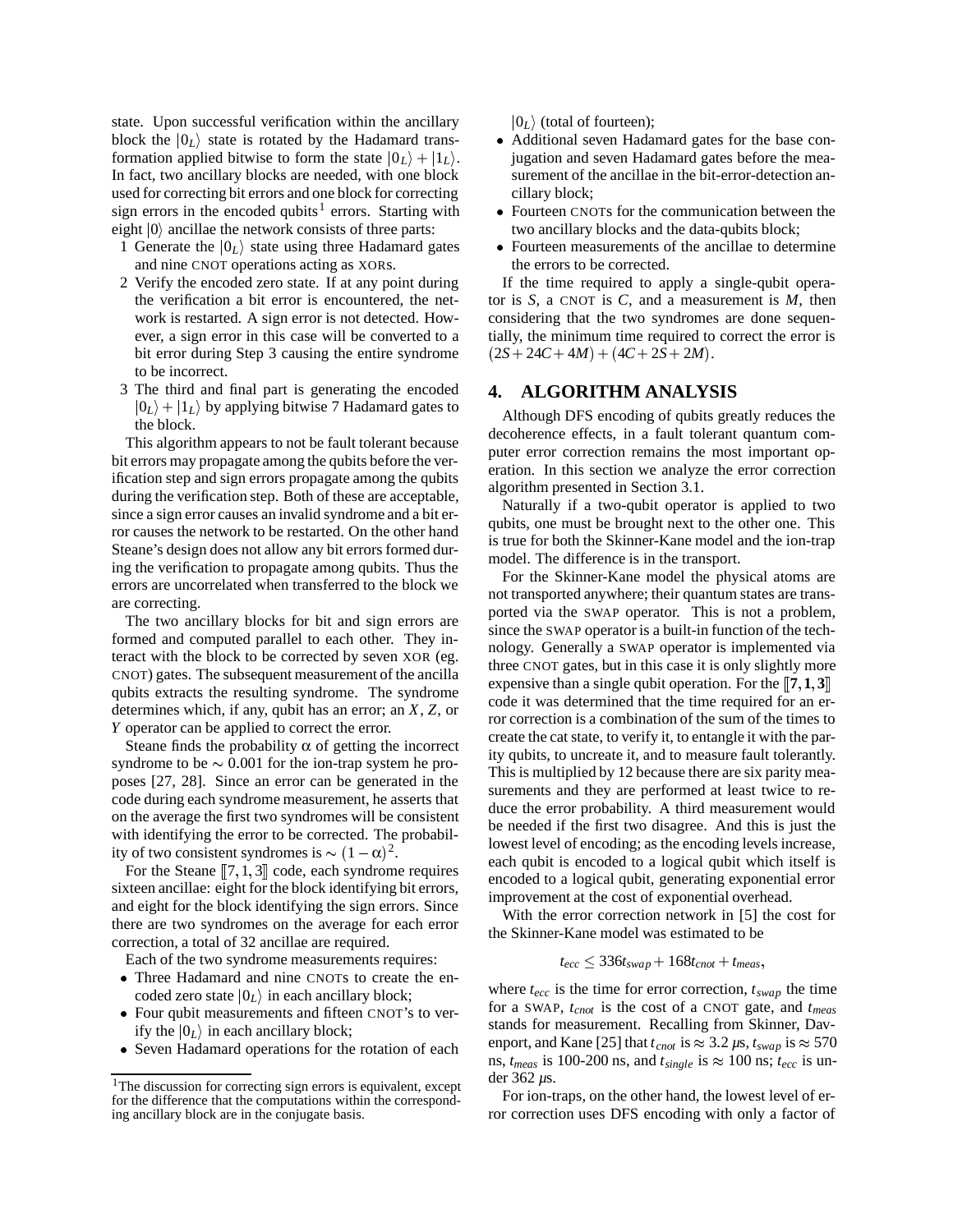state. Upon successful verification within the ancillary block the  $|0_L\rangle$  state is rotated by the Hadamard transformation applied bitwise to form the state  $|0_L\rangle + |1_L\rangle$ . ji In fact, two ancillary blocks are needed, with one block used for correcting bit errors and one block for correcting sign errors in the encoded qubits<sup>1</sup> errors. Starting with eight  $|0\rangle$  ancillae the network consists of three parts:

- 1 Generate the  $|0_L\rangle$  state using three Hadamard gates and nine CNOT operations acting as XORs.
- 2 Verify the encoded zero state. If at any point during the verification a bit error is encountered, the network is restarted. A sign error is not detected. However, a sign error in this case will be converted to a bit error during Step 3 causing the entire syndrome to be incorrect.
- 3 The third and final part is generating the encoded  $|0_L\rangle + |1_L\rangle$  by applying bitwise 7 Hadamard gates to the block.

This algorithm appears to not be fault tolerant because bit errors may propagate among the qubits before the verification step and sign errors propagate among the qubits during the verification step. Both of these are acceptable, since a sign error causes an invalid syndrome and a bit error causes the network to be restarted. On the other hand Steane's design does not allow any bit errors formed during the verification to propagate among qubits. Thus the errors are uncorrelated when transferred to the block we are correcting.

The two ancillary blocks for bit and sign errors are formed and computed parallel to each other. They interact with the block to be corrected by seven XOR (eg. CNOT) gates. The subsequent measurement of the ancilla qubits extracts the resulting syndrome. The syndrome determines which, if any, qubit has an error; an *X*, *Z*, or *Y* operator can be applied to correct the error.

Steane finds the probability  $\alpha$  of getting the incorrect syndrome to be  $\sim 0.001$  for the ion-trap system he proposes [27, 28]. Since an error can be generated in the code during each syndrome measurement, he asserts that on the average the first two syndromes will be consistent with identifying the error to be corrected. The probability of two consistent syndromes is  $\sim (1 - \alpha)^2$ .

For the Steane  $[[7,1,3]]$  code, each syndrome requires sixteen ancillae: eight for the block identifying bit errors, and eight for the block identifying the sign errors. Since there are two syndromes on the average for each error correction, a total of 32 ancillae are required.

Each of the two syndrome measurements requires:

- Three Hadamard and nine CNOTs to create the encoded zero state  $|0_L\rangle$  in each ancillary block;
- Four qubit measurements and fifteen CNOT's to verify the  $|0_L\rangle$  in each ancillary block;
- Seven Hadamard operations for the rotation of each

 $|0_L\rangle$  (total of fourteen);

- Additional seven Hadamard gates for the base conjugation and seven Hadamard gates before the measurement of the ancillae in the bit-error-detection ancillary block;
- Fourteen CNOTs for the communication between the two ancillary blocks and the data-qubits block;
- Fourteen measurements of the ancillae to determine the errors to be corrected.

If the time required to apply a single-qubit operator is *S*, a CNOT is *C*, and a measurement is *M*, then considering that the two syndromes are done sequentially, the minimum time required to correct the error is  $(2S + 24C + 4M) + (4C + 2S + 2M).$ 

# **4. ALGORITHM ANALYSIS**

Although DFS encoding of qubits greatly reduces the decoherence effects, in a fault tolerant quantum computer error correction remains the most important operation. In this section we analyze the error correction algorithm presented in Section 3.1.

Naturally if a two-qubit operator is applied to two qubits, one must be brought next to the other one. This is true for both the Skinner-Kane model and the ion-trap model. The difference is in the transport.

For the Skinner-Kane model the physical atoms are not transported anywhere; their quantum states are transported via the SWAP operator. This is not a problem, since the SWAP operator is a built-in function of the technology. Generally a SWAP operator is implemented via three CNOT gates, but in this case it is only slightly more expensive than a single qubit operation. For the  $[[7,1,3]]$ code it was determined that the time required for an error correction is a combination of the sum of the times to create the cat state, to verify it, to entangle it with the parity qubits, to uncreate it, and to measure fault tolerantly. This is multiplied by 12 because there are six parity measurements and they are performed at least twice to reduce the error probability. A third measurement would be needed if the first two disagree. And this is just the lowest level of encoding; as the encoding levels increase, each qubit is encoded to a logical qubit which itself is encoded to a logical qubit, generating exponential error improvement at the cost of exponential overhead.

With the error correction network in [5] the cost for the Skinner-Kane model was estimated to be

$$
t_{ecc} \leq 336t_{swap} + 168t_{cnot} + t_{meas},
$$

where  $t_{ecc}$  is the time for error correction,  $t_{swap}$  the time for a SWAP, *tcnot* is the cost of a CNOT gate, and *tmeas* stands for measurement. Recalling from Skinner, Davenport, and Kane [25] that  $t_{cnot}$  is  $\approx 3.2 \,\mu s$ ,  $t_{swap}$  is  $\approx 570$ ns,  $t_{meas}$  is 100-200 ns, and  $t_{single}$  is  $\approx 100$  ns;  $t_{ecc}$  is under 362 *µ*s.

For ion-traps, on the other hand, the lowest level of error correction uses DFS encoding with only a factor of

<sup>&</sup>lt;sup>1</sup>The discussion for correcting sign errors is equivalent, except for the difference that the computations within the corresponding ancillary block are in the conjugate basis.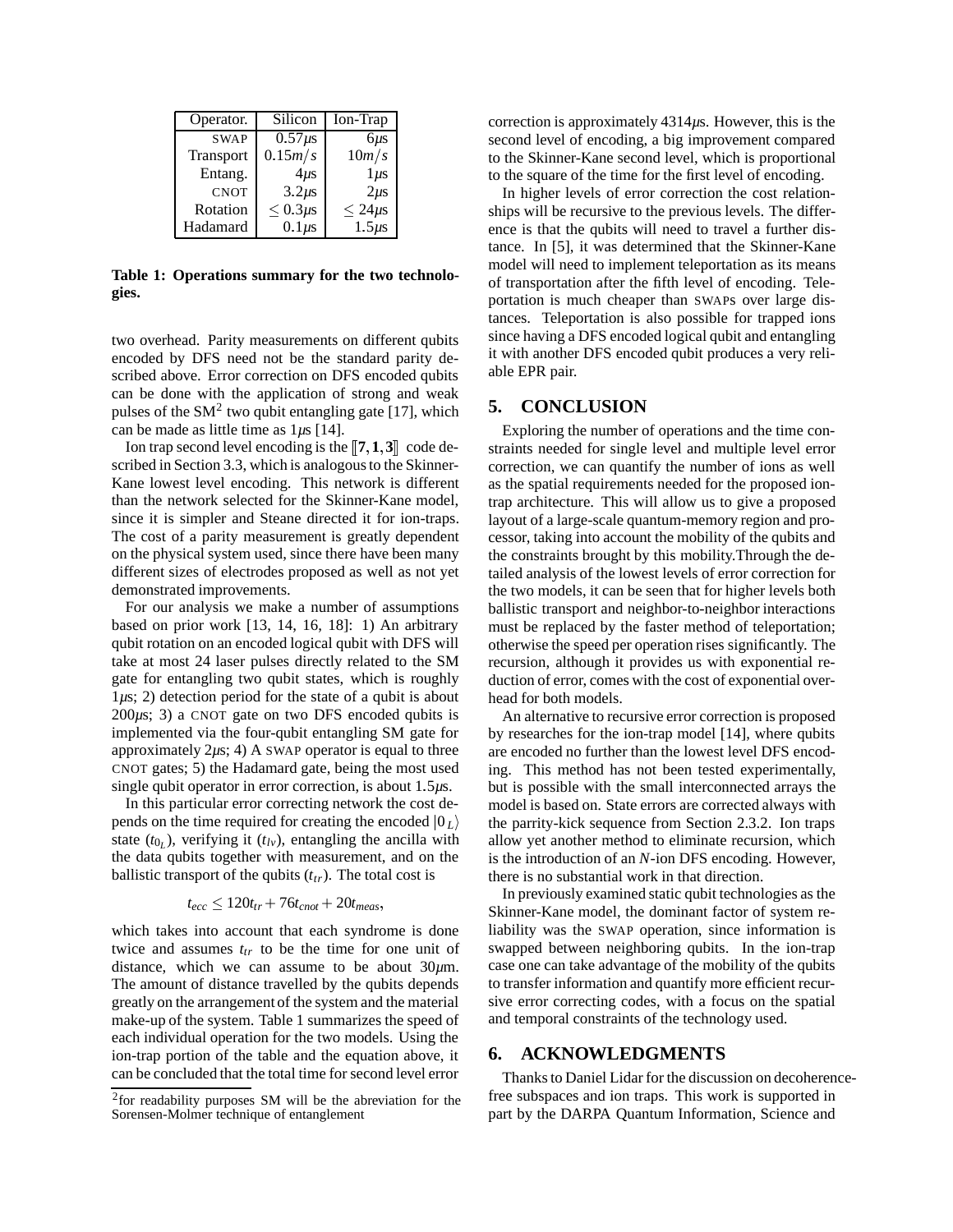| Operator.        | Silicon       | Ion-Trap       |
|------------------|---------------|----------------|
| <b>SWAP</b>      | $0.57\mu s$   | $6 \mu s$      |
| <b>Transport</b> | 0.15m/s       | 10m/s          |
| Entang.          | $4\mu s$      | $1 \mu s$      |
| <b>CNOT</b>      | $3.2 \mu s$   | $2\mu s$       |
| Rotation         | $< 0.3 \mu s$ | $\leq 24\mu s$ |
| Hadamard         | $0.1 \mu s$   | $1.5 \mu s$    |

**Table 1: Operations summary for the two technologies.**

two overhead. Parity measurements on different qubits encoded by DFS need not be the standard parity described above. Error correction on DFS encoded qubits can be done with the application of strong and weak pulses of the  $SM<sup>2</sup>$  two qubit entangling gate [17], which can be made as little time as 1*µ*s [14].

Ion trap second level encoding is the  $\left[\mathbf{7}, \mathbf{1}, \mathbf{3}\right]$  code described in Section 3.3, which is analogous to the Skinner-Kane lowest level encoding. This network is different than the network selected for the Skinner-Kane model, since it is simpler and Steane directed it for ion-traps. The cost of a parity measurement is greatly dependent on the physical system used, since there have been many different sizes of electrodes proposed as well as not yet demonstrated improvements.

For our analysis we make a number of assumptions based on prior work [13, 14, 16, 18]: 1) An arbitrary qubit rotation on an encoded logical qubit with DFS will take at most 24 laser pulses directly related to the SM gate for entangling two qubit states, which is roughly 1*µ*s; 2) detection period for the state of a qubit is about 200*µ*s; 3) a CNOT gate on two DFS encoded qubits is implemented via the four-qubit entangling SM gate for approximately 2*µ*s; 4) A SWAP operator is equal to three CNOT gates; 5) the Hadamard gate, being the most used single qubit operator in error correction, is about 1-5*µ*s.

In this particular error correcting network the cost depends on the time required for creating the encoded  $|0_L\rangle$ state  $(t_0)$ , verifying it  $(t_{l\nu})$ , entangling the ancilla with the data qubits together with measurement, and on the ballistic transport of the qubits  $(t<sub>tr</sub>)$ . The total cost is

$$
t_{ecc} \le 120t_{tr} + 76t_{cnot} + 20t_{meas},
$$

which takes into account that each syndrome is done twice and assumes  $t_{tr}$  to be the time for one unit of distance, which we can assume to be about 30*µ*m. The amount of distance travelled by the qubits depends greatly on the arrangement of the system and the material make-up of the system. Table 1 summarizes the speed of each individual operation for the two models. Using the ion-trap portion of the table and the equation above, it can be concluded that the total time for second level error

correction is approximately 4314*µ*s. However, this is the second level of encoding, a big improvement compared to the Skinner-Kane second level, which is proportional to the square of the time for the first level of encoding.

In higher levels of error correction the cost relationships will be recursive to the previous levels. The difference is that the qubits will need to travel a further distance. In [5], it was determined that the Skinner-Kane model will need to implement teleportation as its means of transportation after the fifth level of encoding. Teleportation is much cheaper than SWAPs over large distances. Teleportation is also possible for trapped ions since having a DFS encoded logical qubit and entangling it with another DFS encoded qubit produces a very reliable EPR pair.

# **5. CONCLUSION**

Exploring the number of operations and the time constraints needed for single level and multiple level error correction, we can quantify the number of ions as well as the spatial requirements needed for the proposed iontrap architecture. This will allow us to give a proposed layout of a large-scale quantum-memory region and processor, taking into account the mobility of the qubits and the constraints brought by this mobility.Through the detailed analysis of the lowest levels of error correction for the two models, it can be seen that for higher levels both ballistic transport and neighbor-to-neighbor interactions must be replaced by the faster method of teleportation; otherwise the speed per operation rises significantly. The recursion, although it provides us with exponential reduction of error, comes with the cost of exponential overhead for both models.

 the parrity-kick sequence from Section 2.3.2. Ion traps An alternative to recursive error correction is proposed by researches for the ion-trap model [14], where qubits are encoded no further than the lowest level DFS encoding. This method has not been tested experimentally, but is possible with the small interconnected arrays the model is based on. State errors are corrected always with allow yet another method to eliminate recursion, which is the introduction of an *N*-ion DFS encoding. However, there is no substantial work in that direction.

In previously examined static qubit technologies as the Skinner-Kane model, the dominant factor of system reliability was the SWAP operation, since information is swapped between neighboring qubits. In the ion-trap case one can take advantage of the mobility of the qubits to transfer information and quantify more efficient recursive error correcting codes, with a focus on the spatial and temporal constraints of the technology used.

# **6. ACKNOWLEDGMENTS**

Thanks to Daniel Lidar for the discussion on decoherencefree subspaces and ion traps. This work is supported in part by the DARPA Quantum Information, Science and

<sup>2</sup>for readability purposes SM will be the abreviation for the Sorensen-Molmer technique of entanglement